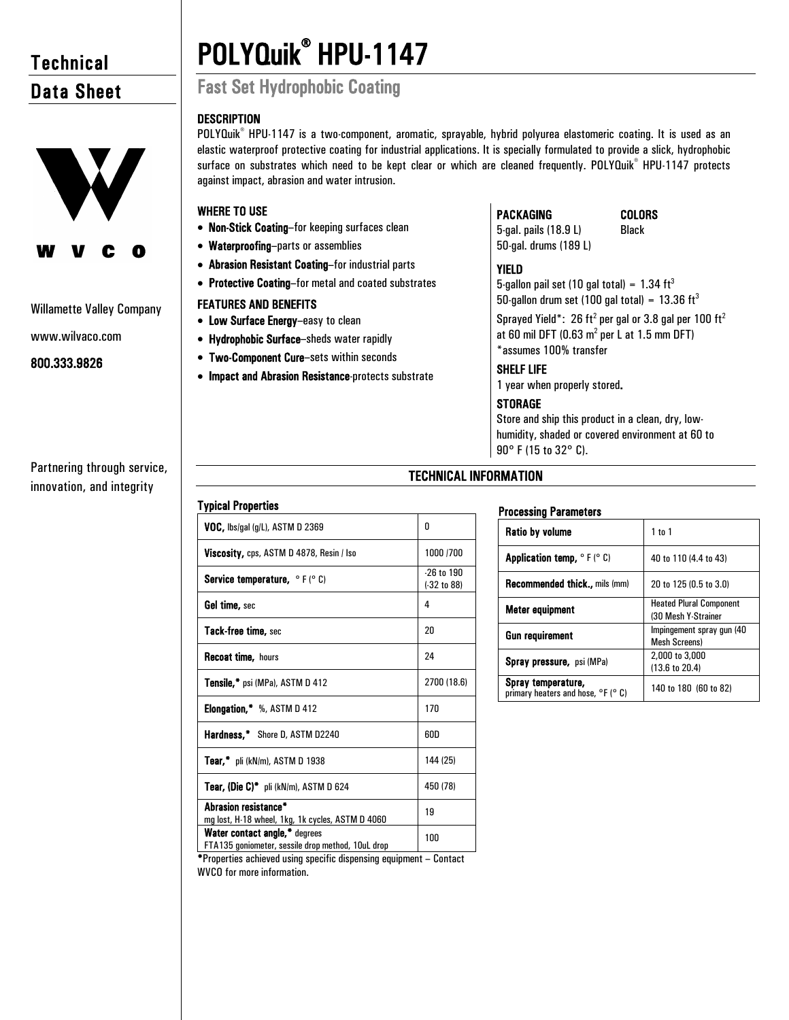## **Technical** Data Sheet



#### Willamette Valley Company

www.wilvaco.com

#### 800.333.9826

Partnering through service, innovation, and integrity

# POLYQuik® HPU-1147 Fast Set Hydrophobic Coating

against impact, abrasion and water intrusion.

• Non-Stick Coating–for keeping surfaces clean

• Abrasion Resistant Coating–for industrial parts • Protective Coating–for metal and coated substrates

• Impact and Abrasion Resistance-protects substrate

• Waterproofing–parts or assemblies

• Low Surface Energy–easy to clean • Hydrophobic Surface–sheds water rapidly • Two-Component Cure–sets within seconds

FEATURES AND BENEFITS

#### **DESCRIPTION** POLYQuik<sup>®</sup> HPU-1147 is a two-component, aromatic, sprayable, hybrid polyurea elastomeric coating. It is used as an

WHERE TO USE



YIELD 5-gallon pail set (10 gal total) =  $1.34 \text{ ft}^3$ 

50-gallon drum set (100 gal total) =  $13.36 \text{ ft}^3$ 

Sprayed Yield\*: 26 ft<sup>2</sup> per gal or 3.8 gal per 100 ft<sup>2</sup> at 60 mil DFT (0.63  $m^2$  per L at 1.5 mm DFT) \*assumes 100% transfer

COLORS

#### SHELF LIFE

PACKAGING

1 year when properly stored.

#### **STORAGE**

Store and ship this product in a clean, dry, lowhumidity, shaded or covered environment at 60 to 90° F (15 to 32° C).

### TECHNICAL INFORMATION

elastic waterproof protective coating for industrial applications. It is specially formulated to provide a slick, hydrophobic surface on substrates which need to be kept clear or which are cleaned frequently. POLYQuik® HPU-1147 protects

#### Typical Properties

| VOC, lbs/gal (g/L), ASTM D 2369                                                    | n                             |
|------------------------------------------------------------------------------------|-------------------------------|
| <b>Viscosity, cps, ASTM D 4878, Resin / Iso</b>                                    | 1000 /700                     |
| <b>Service temperature, <math>\circ</math> F (<math>\circ</math> C)</b>            | $-26$ to $190$<br>(-32 to 88) |
| <b>Gel time,</b> sec                                                               | 4                             |
| <b>Tack-free time, sec</b>                                                         | 20                            |
| <b>Recoat time, hours</b>                                                          | 24                            |
| <b>Tensile,*</b> psi (MPa), ASTM D 412                                             | 2700 (18.6)                   |
| Elongation,* %, ASTM D 412                                                         | 170                           |
| <b>Hardness,*</b> Shore D, ASTM D2240                                              | 60D                           |
| <b>Tear,*</b> pli (kN/m), ASTM D 1938                                              | 144 (25)                      |
| <b>Tear, (Die C)*</b> pli (kN/m), ASTM D 624                                       | 450 (78)                      |
| Abrasion resistance*<br>mg lost, H-18 wheel, 1kg, 1k cycles, ASTM D 4060           | 19                            |
| Water contact angle,* degrees<br>FTA135 goniometer, sessile drop method, 10uL drop | 100                           |

#### Processing Parameters

| <b>Ratio by volume</b>                                               | $1$ to $1$                                            |
|----------------------------------------------------------------------|-------------------------------------------------------|
| <b>Application temp, <math>\circ</math> F (<math>\circ</math> C)</b> | 40 to 110 (4.4 to 43)                                 |
| Recommended thick., mils (mm)                                        | 20 to 125 (0.5 to 3.0)                                |
| Meter equipment                                                      | <b>Heated Plural Component</b><br>(30 Mesh Y-Strainer |
| Gun requirement                                                      | Impingement spray gun (40<br><b>Mesh Screens)</b>     |
| <b>Spray pressure, psi (MPa)</b>                                     | 2,000 to 3,000<br>$(13.6 \text{ to } 20.4)$           |
| Spray temperature,<br>primary heaters and hose, °F (° C)             | 140 to 180 (60 to 82)                                 |

\*Properties achieved using specific dispensing equipment – Contact WVCO for more information.